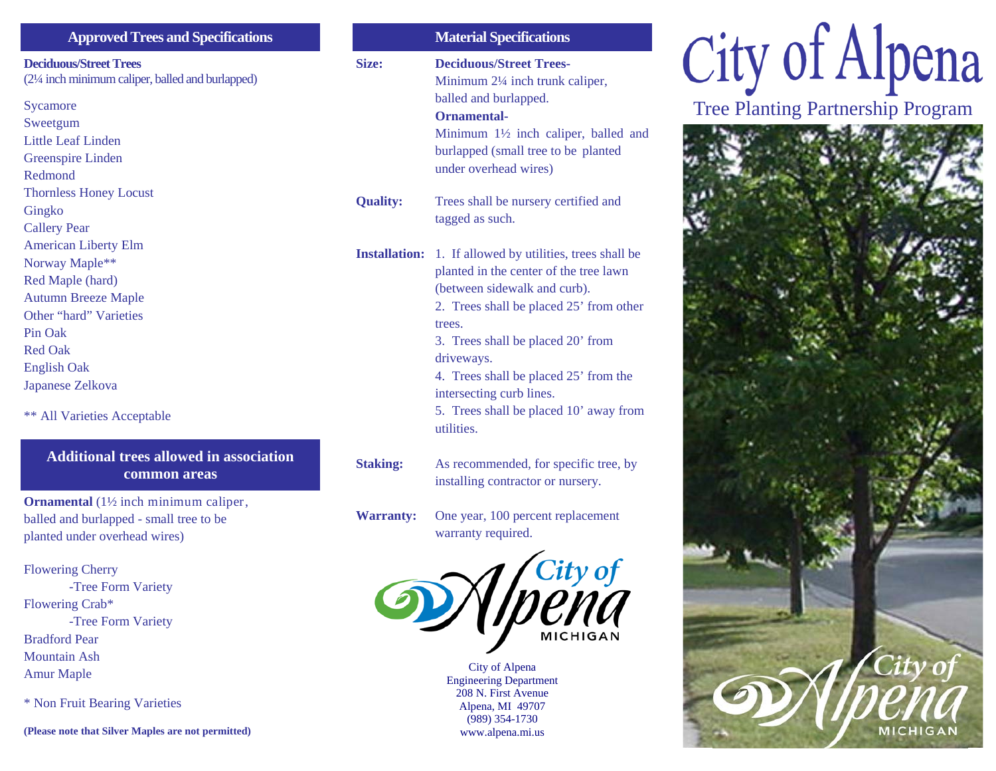| <b>Approved Trees and Specifications</b>        |
|-------------------------------------------------|
| <b>Deciduous/Street Trees</b>                   |
| (2¼ inch minimum caliper, balled and burlapped) |
| Sycamore                                        |
| Sweetgum                                        |
| Little Leaf Linden                              |
| <b>Greenspire Linden</b>                        |
| Redmond                                         |
| <b>Thornless Honey Locust</b>                   |
| Gingko                                          |
| <b>Callery Pear</b>                             |
| <b>American Liberty Elm</b>                     |
| Norway Maple**                                  |
| Red Maple (hard)                                |
| <b>Autumn Breeze Maple</b>                      |
| Other "hard" Varieties<br>Pin Oak               |
| <b>Red Oak</b>                                  |
| <b>English Oak</b>                              |
| Japanese Zelkova                                |
|                                                 |
| **<br><b>All Varieties Acceptable</b>           |

#### **Additional trees allowed in association common areas**

**Ornamental** (1½ inch minimum caliper, balled and burlapped - small tree to be planted under overhead wires)

Flowering Cherry -Tree Form Variety Flowering Crab\* -Tree Form Variety Bradford Pear Mountain Ash Amur Maple

\* Non Fruit Bearing Varieties

**(Please note that Silver Maples are not permitted)** 

|                      | <b>Material Specifications</b>                                                                                                                                                                                                                                                                                                                            |
|----------------------|-----------------------------------------------------------------------------------------------------------------------------------------------------------------------------------------------------------------------------------------------------------------------------------------------------------------------------------------------------------|
| Size:                | <b>Deciduous/Street Trees-</b><br>Minimum 2¼ inch trunk caliper,<br>balled and burlapped.<br>Ornamental-<br>Minimum 1 <sup>1</sup> / <sub>2</sub> inch caliper, balled and<br>burlapped (small tree to be planted<br>under overhead wires)                                                                                                                |
| <b>Quality:</b>      | Trees shall be nursery certified and<br>tagged as such.                                                                                                                                                                                                                                                                                                   |
| <b>Installation:</b> | 1. If allowed by utilities, trees shall be<br>planted in the center of the tree lawn<br>(between sidewalk and curb).<br>2. Trees shall be placed 25' from other<br>trees.<br>3. Trees shall be placed 20' from<br>driveways.<br>4. Trees shall be placed 25' from the<br>intersecting curb lines.<br>5. Trees shall be placed 10' away from<br>utilities. |
| <b>Staking:</b>      | As recommended, for specific tree, by<br>installing contractor or nursery.                                                                                                                                                                                                                                                                                |
| <b>Warranty:</b>     | One year, 100 percent replacement<br>warranty required.                                                                                                                                                                                                                                                                                                   |
|                      |                                                                                                                                                                                                                                                                                                                                                           |



City of Alpena Engineering Department 208 N. First Avenue Alpena, MI 49707 (989) 354-1730 www.alpena.mi.us

# City of Alpena

Tree Planting Partnership Program

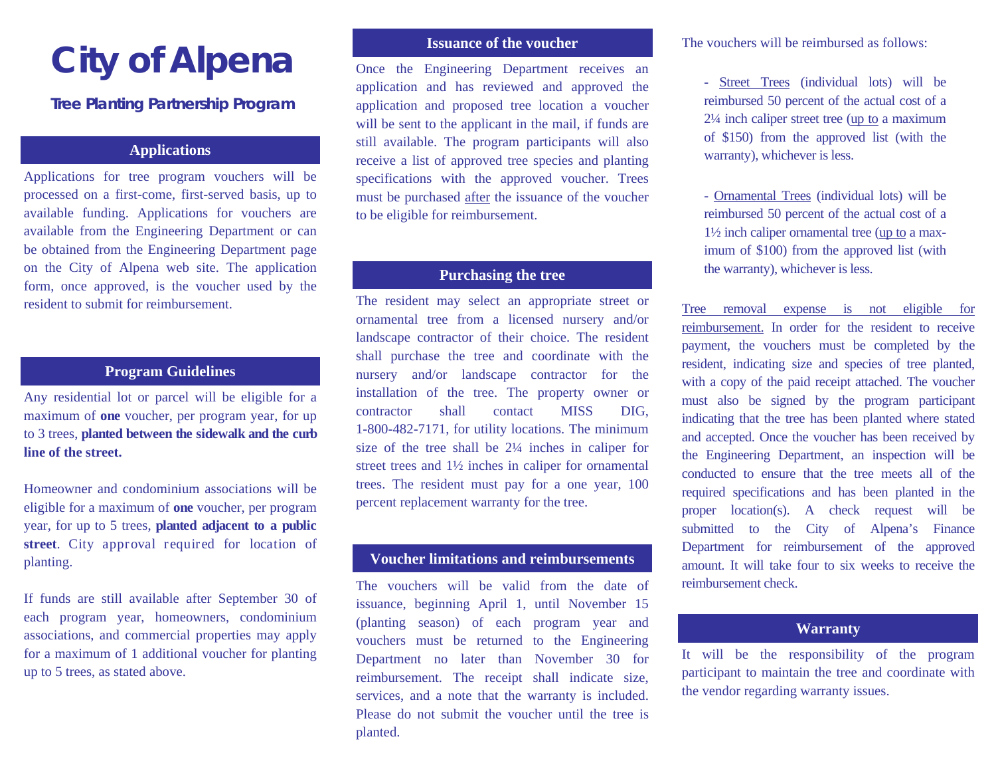# **City of Alpena**

#### **Tree Planting Partnership Program**

#### **Applications**

Applications for tree program vouchers will be processed on a first-come, first-served basis, up to available funding. Applications for vouchers are available from the Engineering Department or can be obtained from the Engineering Department page on the City of Alpena web site. The application form, once approved, is the voucher used by the resident to submit for reimbursement.

#### **Program Guidelines**

Any residential lot or parcel will be eligible for a maximum of **one** voucher, per program year, for up to 3 trees, **planted between the sidewalk and the curb line of the street.** 

Homeowner and condominium associations will be eligible for a maximum of **one** voucher, per program year, for up to 5 trees, **planted adjacent to a public street**. City approval required for location of planting.

If funds are still available after September 30 of each program year, homeowners, condominium associations, and commercial properties may apply for a maximum of 1 additional voucher for planting up to 5 trees, as stated above.

#### **Issuance of the voucher**

Once the Engineering Department receives an application and has reviewed and approved the application and proposed tree location a voucher will be sent to the applicant in the mail, if funds are still available. The program participants will also receive a list of approved tree species and planting specifications with the approved voucher. Trees must be purchased after the issuance of the voucher to be eligible for reimbursement.

#### **Purchasing the tree**

The resident may select an appropriate street or ornamental tree from a licensed nursery and/or landscape contractor of their choice. The resident shall purchase the tree and coordinate with the nursery and/or landscape contractor for the installation of the tree. The property owner or contractor shall contact MISS DIG, 1-800-482-7171, for utility locations. The minimum size of the tree shall be 2¼ inches in caliper for street trees and 1½ inches in caliper for ornamental trees. The resident must pay for a one year, 100 percent replacement warranty for the tree.

#### **Voucher limitations and reimbursements**

The vouchers will be valid from the date of issuance, beginning April 1, until November 15 (planting season) of each program year and vouchers must be returned to the Engineering Department no later than November 30 for reimbursement. The receipt shall indicate size, services, and a note that the warranty is included. Please do not submit the voucher until the tree is planted.

The vouchers will be reimbursed as follows:

- Street Trees (individual lots) will be reimbursed 50 percent of the actual cost of a 2¼ inch caliper street tree (up to a maximum of \$150) from the approved list (with the warranty), whichever is less.

- Ornamental Trees (individual lots) will be reimbursed 50 percent of the actual cost of a 1½ inch caliper ornamental tree (up to a maximum of \$100) from the approved list (with the warranty), whichever is less.

Tree removal expense is not eligible for reimbursement. In order for the resident to receive payment, the vouchers must be completed by the resident, indicating size and species of tree planted, with a copy of the paid receipt attached. The voucher must also be signed by the program participant indicating that the tree has been planted where stated and accepted. Once the voucher has been received by the Engineering Department, an inspection will be conducted to ensure that the tree meets all of the required specifications and has been planted in the proper location(s). A check request will be submitted to the City of Alpena's Finance Department for reimbursement of the approved amount. It will take four to six weeks to receive the reimbursement check.

#### **Warranty**

It will be the responsibility of the program participant to maintain the tree and coordinate with the vendor regarding warranty issues.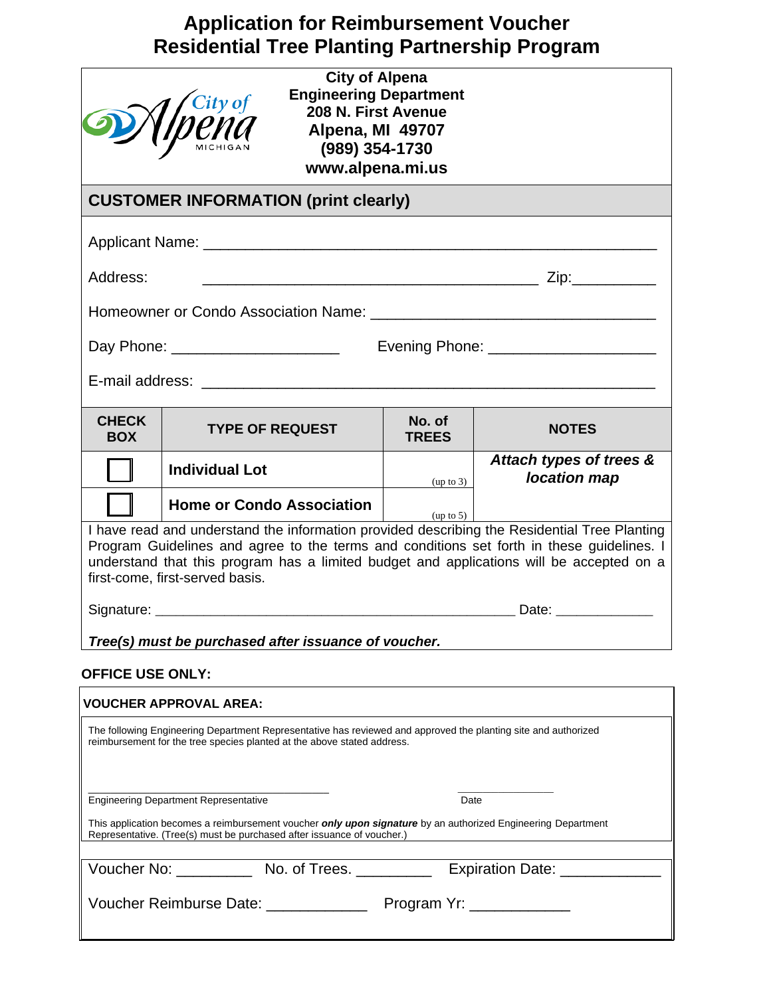## **Application for Reimbursement Voucher Residential Tree Planting Partnership Program**

| <b>City of Alpena</b><br><b>Engineering Department</b><br><i>M</i> <sup>City of</sup><br>Ippna<br>208 N. First Avenue<br>Alpena, MI 49707<br>(989) 354-1730<br>www.alpena.mi.us                                                                                                                                          |                                                                                                                                                                                           |                        |                                         |  |  |
|--------------------------------------------------------------------------------------------------------------------------------------------------------------------------------------------------------------------------------------------------------------------------------------------------------------------------|-------------------------------------------------------------------------------------------------------------------------------------------------------------------------------------------|------------------------|-----------------------------------------|--|--|
| <b>CUSTOMER INFORMATION (print clearly)</b>                                                                                                                                                                                                                                                                              |                                                                                                                                                                                           |                        |                                         |  |  |
|                                                                                                                                                                                                                                                                                                                          |                                                                                                                                                                                           |                        |                                         |  |  |
| Address:                                                                                                                                                                                                                                                                                                                 |                                                                                                                                                                                           |                        |                                         |  |  |
|                                                                                                                                                                                                                                                                                                                          |                                                                                                                                                                                           |                        |                                         |  |  |
| Day Phone: _______________________<br>Evening Phone: _______________________                                                                                                                                                                                                                                             |                                                                                                                                                                                           |                        |                                         |  |  |
|                                                                                                                                                                                                                                                                                                                          |                                                                                                                                                                                           |                        |                                         |  |  |
| <b>CHECK</b><br><b>BOX</b>                                                                                                                                                                                                                                                                                               | <b>TYPE OF REQUEST</b>                                                                                                                                                                    | No. of<br><b>TREES</b> | <b>NOTES</b>                            |  |  |
|                                                                                                                                                                                                                                                                                                                          | <b>Individual Lot</b>                                                                                                                                                                     | (up to 3)              | Attach types of trees &<br>location map |  |  |
|                                                                                                                                                                                                                                                                                                                          | <b>Home or Condo Association</b>                                                                                                                                                          | (up to 5)              |                                         |  |  |
| I have read and understand the information provided describing the Residential Tree Planting<br>Program Guidelines and agree to the terms and conditions set forth in these guidelines. I<br>understand that this program has a limited budget and applications will be accepted on a<br>first-come, first-served basis. |                                                                                                                                                                                           |                        |                                         |  |  |
|                                                                                                                                                                                                                                                                                                                          |                                                                                                                                                                                           |                        |                                         |  |  |
|                                                                                                                                                                                                                                                                                                                          | Tree(s) must be purchased after issuance of voucher.                                                                                                                                      |                        |                                         |  |  |
| <b>OFFICE USE ONLY:</b>                                                                                                                                                                                                                                                                                                  |                                                                                                                                                                                           |                        |                                         |  |  |
| <b>VOUCHER APPROVAL AREA:</b>                                                                                                                                                                                                                                                                                            |                                                                                                                                                                                           |                        |                                         |  |  |
|                                                                                                                                                                                                                                                                                                                          | The following Engineering Department Representative has reviewed and approved the planting site and authorized<br>reimbursement for the tree species planted at the above stated address. |                        |                                         |  |  |
| <b>Engineering Department Representative</b><br>Date                                                                                                                                                                                                                                                                     |                                                                                                                                                                                           |                        |                                         |  |  |
| This application becomes a reimbursement voucher <i>only upon signature</i> by an authorized Engineering Department<br>Representative. (Tree(s) must be purchased after issuance of voucher.)                                                                                                                            |                                                                                                                                                                                           |                        |                                         |  |  |
|                                                                                                                                                                                                                                                                                                                          | Voucher No: No. of Trees. No. 2014 Expiration Date: No. 2014                                                                                                                              |                        |                                         |  |  |
|                                                                                                                                                                                                                                                                                                                          |                                                                                                                                                                                           |                        |                                         |  |  |